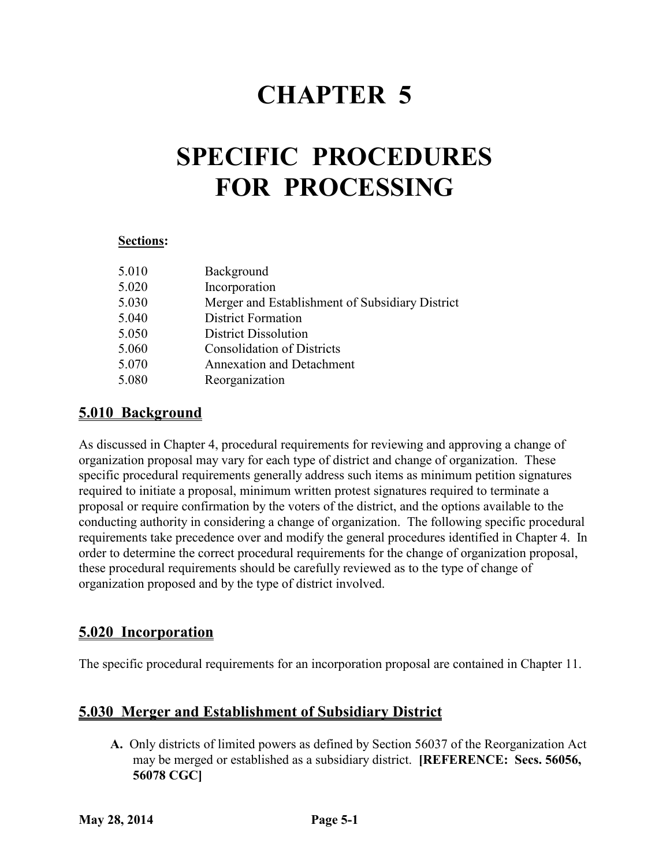## **CHAPTER 5**

# **SPECIFIC PROCEDURES FOR PROCESSING**

#### **Sections:**

| 5.010 | Background                                      |
|-------|-------------------------------------------------|
| 5.020 | Incorporation                                   |
| 5.030 | Merger and Establishment of Subsidiary District |
| 5.040 | <b>District Formation</b>                       |
| 5.050 | <b>District Dissolution</b>                     |
| 5.060 | <b>Consolidation of Districts</b>               |
| 5.070 | <b>Annexation and Detachment</b>                |
| 5.080 | Reorganization                                  |
|       |                                                 |

## **5.010 Background**

As discussed in Chapter 4, procedural requirements for reviewing and approving a change of organization proposal may vary for each type of district and change of organization. These specific procedural requirements generally address such items as minimum petition signatures required to initiate a proposal, minimum written protest signatures required to terminate a proposal or require confirmation by the voters of the district, and the options available to the conducting authority in considering a change of organization. The following specific procedural requirements take precedence over and modify the general procedures identified in Chapter 4. In order to determine the correct procedural requirements for the change of organization proposal, these procedural requirements should be carefully reviewed as to the type of change of organization proposed and by the type of district involved.

## **5.020 Incorporation**

The specific procedural requirements for an incorporation proposal are contained in Chapter 11.

## **5.030 Merger and Establishment of Subsidiary District**

**A.** Only districts of limited powers as defined by Section 56037 of the Reorganization Act may be merged or established as a subsidiary district. **[REFERENCE: Secs. 56056, 56078 CGC]**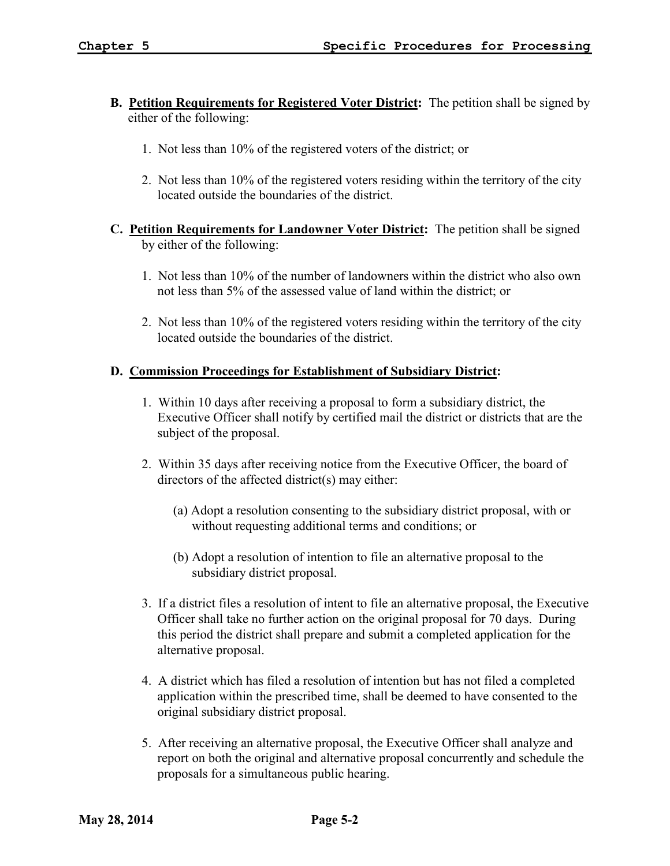- **B. Petition Requirements for Registered Voter District:** The petition shall be signed by either of the following:
	- 1. Not less than 10% of the registered voters of the district; or
	- 2. Not less than 10% of the registered voters residing within the territory of the city located outside the boundaries of the district.
- **C. Petition Requirements for Landowner Voter District:** The petition shall be signed by either of the following:
	- 1. Not less than 10% of the number of landowners within the district who also own not less than 5% of the assessed value of land within the district; or
	- 2. Not less than 10% of the registered voters residing within the territory of the city located outside the boundaries of the district.

## **D. Commission Proceedings for Establishment of Subsidiary District:**

- 1. Within 10 days after receiving a proposal to form a subsidiary district, the Executive Officer shall notify by certified mail the district or districts that are the subject of the proposal.
- 2. Within 35 days after receiving notice from the Executive Officer, the board of directors of the affected district(s) may either:
	- (a) Adopt a resolution consenting to the subsidiary district proposal, with or without requesting additional terms and conditions; or
	- (b) Adopt a resolution of intention to file an alternative proposal to the subsidiary district proposal.
- 3. If a district files a resolution of intent to file an alternative proposal, the Executive Officer shall take no further action on the original proposal for 70 days. During this period the district shall prepare and submit a completed application for the alternative proposal.
- 4. A district which has filed a resolution of intention but has not filed a completed application within the prescribed time, shall be deemed to have consented to the original subsidiary district proposal.
- 5. After receiving an alternative proposal, the Executive Officer shall analyze and report on both the original and alternative proposal concurrently and schedule the proposals for a simultaneous public hearing.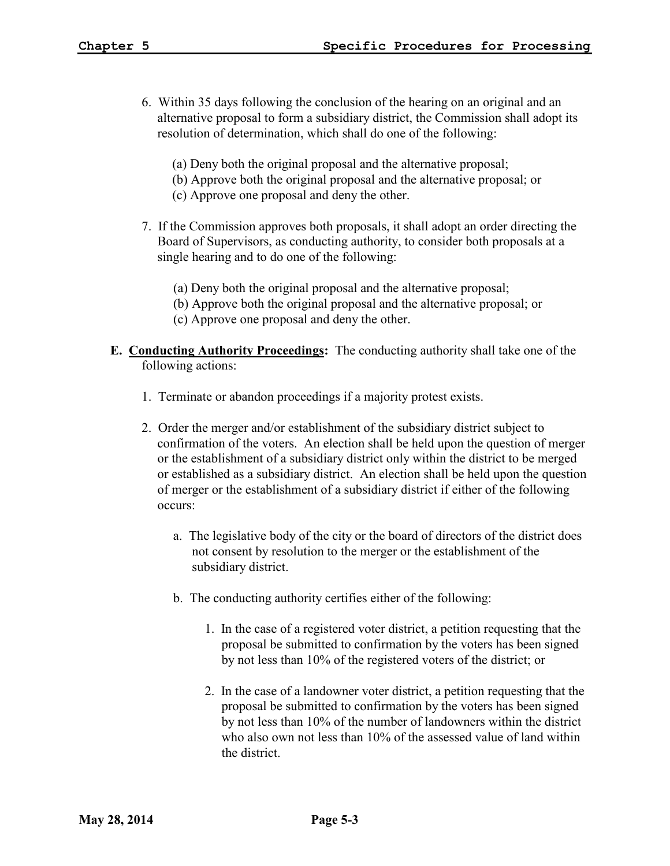- 6. Within 35 days following the conclusion of the hearing on an original and an alternative proposal to form a subsidiary district, the Commission shall adopt its resolution of determination, which shall do one of the following:
	- (a) Deny both the original proposal and the alternative proposal;
	- (b) Approve both the original proposal and the alternative proposal; or
	- (c) Approve one proposal and deny the other.
- 7. If the Commission approves both proposals, it shall adopt an order directing the Board of Supervisors, as conducting authority, to consider both proposals at a single hearing and to do one of the following:
	- (a) Deny both the original proposal and the alternative proposal;
	- (b) Approve both the original proposal and the alternative proposal; or
	- (c) Approve one proposal and deny the other.

## **E. Conducting Authority Proceedings:** The conducting authority shall take one of the following actions:

- 1. Terminate or abandon proceedings if a majority protest exists.
- 2. Order the merger and/or establishment of the subsidiary district subject to confirmation of the voters. An election shall be held upon the question of merger or the establishment of a subsidiary district only within the district to be merged or established as a subsidiary district. An election shall be held upon the question of merger or the establishment of a subsidiary district if either of the following occurs:
	- a. The legislative body of the city or the board of directors of the district does not consent by resolution to the merger or the establishment of the subsidiary district.
	- b. The conducting authority certifies either of the following:
		- 1. In the case of a registered voter district, a petition requesting that the proposal be submitted to confirmation by the voters has been signed by not less than 10% of the registered voters of the district; or
		- 2. In the case of a landowner voter district, a petition requesting that the proposal be submitted to confirmation by the voters has been signed by not less than 10% of the number of landowners within the district who also own not less than 10% of the assessed value of land within the district.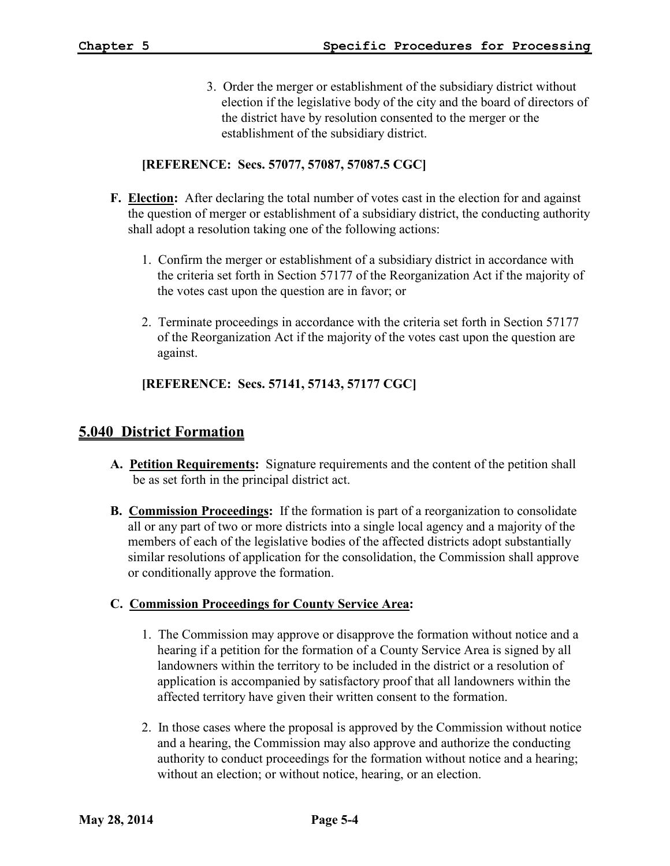3. Order the merger or establishment of the subsidiary district without election if the legislative body of the city and the board of directors of the district have by resolution consented to the merger or the establishment of the subsidiary district.

#### **[REFERENCE: Secs. 57077, 57087, 57087.5 CGC]**

- **F. Election:** After declaring the total number of votes cast in the election for and against the question of merger or establishment of a subsidiary district, the conducting authority shall adopt a resolution taking one of the following actions:
	- 1. Confirm the merger or establishment of a subsidiary district in accordance with the criteria set forth in Section 57177 of the Reorganization Act if the majority of the votes cast upon the question are in favor; or
	- 2. Terminate proceedings in accordance with the criteria set forth in Section 57177 of the Reorganization Act if the majority of the votes cast upon the question are against.

## **[REFERENCE: Secs. 57141, 57143, 57177 CGC]**

## **5.040 District Formation**

- **A. Petition Requirements:** Signature requirements and the content of the petition shall be as set forth in the principal district act.
- **B. Commission Proceedings:** If the formation is part of a reorganization to consolidate all or any part of two or more districts into a single local agency and a majority of the members of each of the legislative bodies of the affected districts adopt substantially similar resolutions of application for the consolidation, the Commission shall approve or conditionally approve the formation.

## **C. Commission Proceedings for County Service Area:**

- 1. The Commission may approve or disapprove the formation without notice and a hearing if a petition for the formation of a County Service Area is signed by all landowners within the territory to be included in the district or a resolution of application is accompanied by satisfactory proof that all landowners within the affected territory have given their written consent to the formation.
- 2. In those cases where the proposal is approved by the Commission without notice and a hearing, the Commission may also approve and authorize the conducting authority to conduct proceedings for the formation without notice and a hearing; without an election; or without notice, hearing, or an election.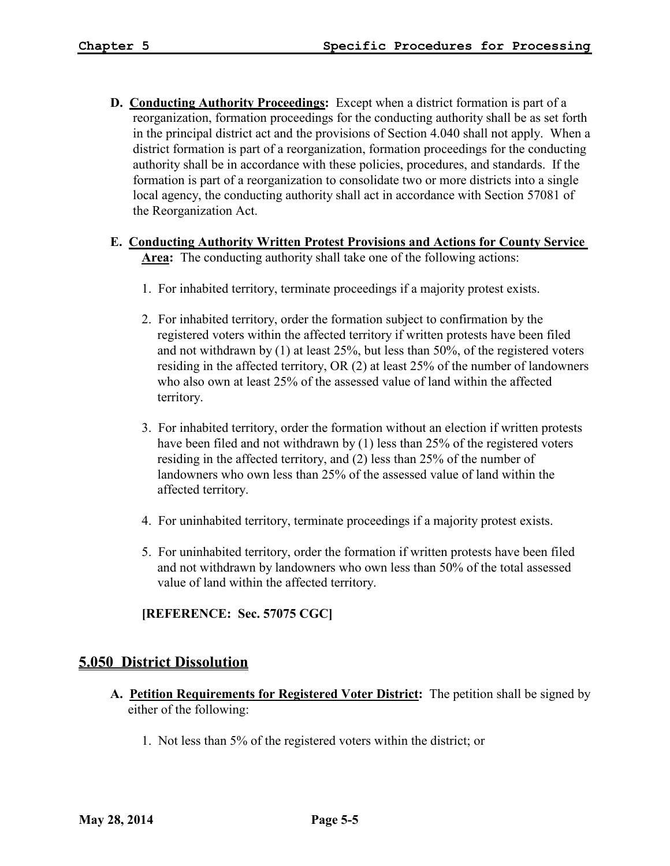- **D. Conducting Authority Proceedings:** Except when a district formation is part of a reorganization, formation proceedings for the conducting authority shall be as set forth in the principal district act and the provisions of Section 4.040 shall not apply. When a district formation is part of a reorganization, formation proceedings for the conducting authority shall be in accordance with these policies, procedures, and standards. If the formation is part of a reorganization to consolidate two or more districts into a single local agency, the conducting authority shall act in accordance with Section 57081 of the Reorganization Act.
- **E. Conducting Authority Written Protest Provisions and Actions for County Service Area:** The conducting authority shall take one of the following actions:
	- 1. For inhabited territory, terminate proceedings if a majority protest exists.
	- 2. For inhabited territory, order the formation subject to confirmation by the registered voters within the affected territory if written protests have been filed and not withdrawn by (1) at least 25%, but less than 50%, of the registered voters residing in the affected territory, OR (2) at least 25% of the number of landowners who also own at least 25% of the assessed value of land within the affected territory.
	- 3. For inhabited territory, order the formation without an election if written protests have been filed and not withdrawn by (1) less than 25% of the registered voters residing in the affected territory, and (2) less than 25% of the number of landowners who own less than 25% of the assessed value of land within the affected territory.
	- 4. For uninhabited territory, terminate proceedings if a majority protest exists.
	- 5. For uninhabited territory, order the formation if written protests have been filed and not withdrawn by landowners who own less than 50% of the total assessed value of land within the affected territory.

**[REFERENCE: Sec. 57075 CGC]**

## **5.050 District Dissolution**

- **A. Petition Requirements for Registered Voter District:** The petition shall be signed by either of the following:
	- 1. Not less than 5% of the registered voters within the district; or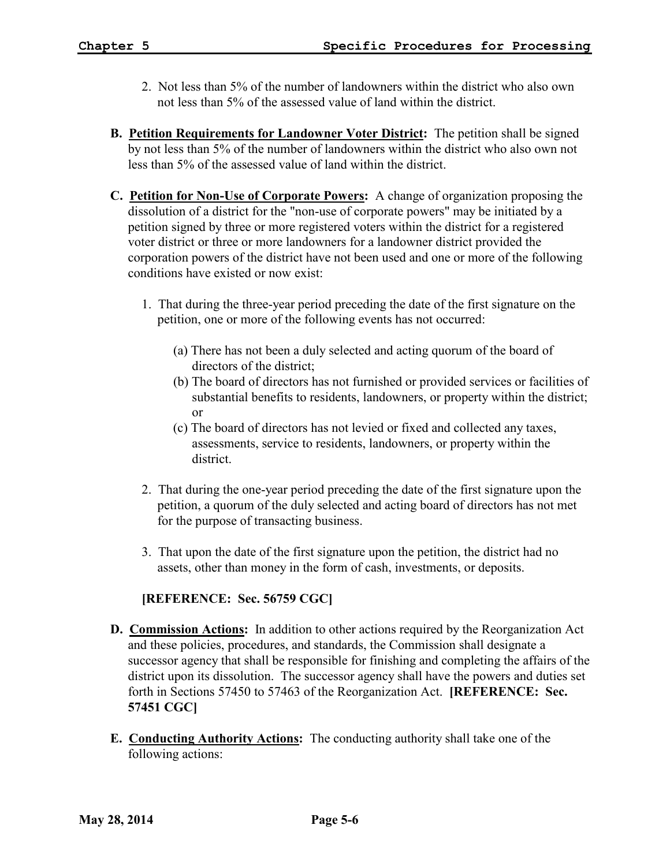- 2. Not less than 5% of the number of landowners within the district who also own not less than 5% of the assessed value of land within the district.
- **B. Petition Requirements for Landowner Voter District:** The petition shall be signed by not less than 5% of the number of landowners within the district who also own not less than 5% of the assessed value of land within the district.
- **C. Petition for Non-Use of Corporate Powers:** A change of organization proposing the dissolution of a district for the "non-use of corporate powers" may be initiated by a petition signed by three or more registered voters within the district for a registered voter district or three or more landowners for a landowner district provided the corporation powers of the district have not been used and one or more of the following conditions have existed or now exist:
	- 1. That during the three-year period preceding the date of the first signature on the petition, one or more of the following events has not occurred:
		- (a) There has not been a duly selected and acting quorum of the board of directors of the district;
		- (b) The board of directors has not furnished or provided services or facilities of substantial benefits to residents, landowners, or property within the district; or
		- (c) The board of directors has not levied or fixed and collected any taxes, assessments, service to residents, landowners, or property within the district.
	- 2. That during the one-year period preceding the date of the first signature upon the petition, a quorum of the duly selected and acting board of directors has not met for the purpose of transacting business.
	- 3. That upon the date of the first signature upon the petition, the district had no assets, other than money in the form of cash, investments, or deposits.

## **[REFERENCE: Sec. 56759 CGC]**

- **D. Commission Actions:** In addition to other actions required by the Reorganization Act and these policies, procedures, and standards, the Commission shall designate a successor agency that shall be responsible for finishing and completing the affairs of the district upon its dissolution. The successor agency shall have the powers and duties set forth in Sections 57450 to 57463 of the Reorganization Act. **[REFERENCE: Sec. 57451 CGC]**
- **E. Conducting Authority Actions:** The conducting authority shall take one of the following actions: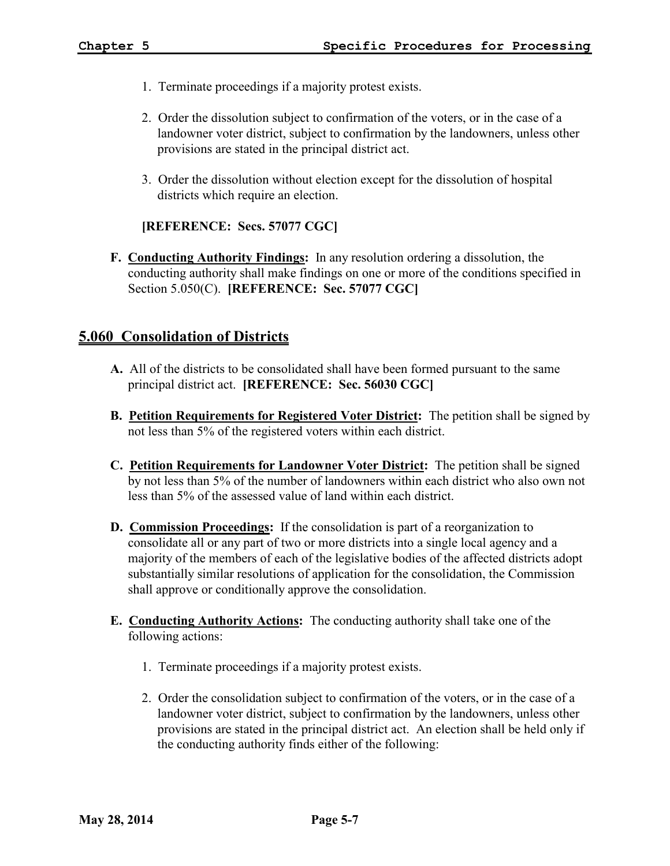- 1. Terminate proceedings if a majority protest exists.
- 2. Order the dissolution subject to confirmation of the voters, or in the case of a landowner voter district, subject to confirmation by the landowners, unless other provisions are stated in the principal district act.
- 3. Order the dissolution without election except for the dissolution of hospital districts which require an election.

## **[REFERENCE: Secs. 57077 CGC]**

**F. Conducting Authority Findings:** In any resolution ordering a dissolution, the conducting authority shall make findings on one or more of the conditions specified in Section 5.050(C). **[REFERENCE: Sec. 57077 CGC]**

## **5.060 Consolidation of Districts**

- **A.** All of the districts to be consolidated shall have been formed pursuant to the same principal district act. **[REFERENCE: Sec. 56030 CGC]**
- **B. Petition Requirements for Registered Voter District:** The petition shall be signed by not less than 5% of the registered voters within each district.
- **C. Petition Requirements for Landowner Voter District:** The petition shall be signed by not less than 5% of the number of landowners within each district who also own not less than 5% of the assessed value of land within each district.
- **D. Commission Proceedings:** If the consolidation is part of a reorganization to consolidate all or any part of two or more districts into a single local agency and a majority of the members of each of the legislative bodies of the affected districts adopt substantially similar resolutions of application for the consolidation, the Commission shall approve or conditionally approve the consolidation.
- **E. Conducting Authority Actions:** The conducting authority shall take one of the following actions:
	- 1. Terminate proceedings if a majority protest exists.
	- 2. Order the consolidation subject to confirmation of the voters, or in the case of a landowner voter district, subject to confirmation by the landowners, unless other provisions are stated in the principal district act. An election shall be held only if the conducting authority finds either of the following: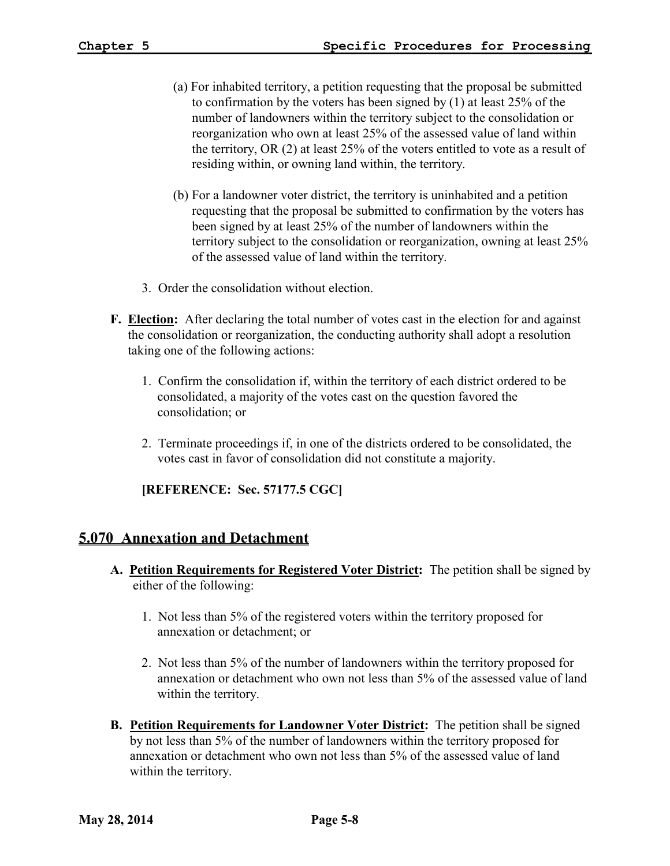- (a) For inhabited territory, a petition requesting that the proposal be submitted to confirmation by the voters has been signed by (1) at least 25% of the number of landowners within the territory subject to the consolidation or reorganization who own at least 25% of the assessed value of land within the territory, OR (2) at least 25% of the voters entitled to vote as a result of residing within, or owning land within, the territory.
- (b) For a landowner voter district, the territory is uninhabited and a petition requesting that the proposal be submitted to confirmation by the voters has been signed by at least 25% of the number of landowners within the territory subject to the consolidation or reorganization, owning at least 25% of the assessed value of land within the territory.
- 3. Order the consolidation without election.
- **F. Election:** After declaring the total number of votes cast in the election for and against the consolidation or reorganization, the conducting authority shall adopt a resolution taking one of the following actions:
	- 1. Confirm the consolidation if, within the territory of each district ordered to be consolidated, a majority of the votes cast on the question favored the consolidation; or
	- 2. Terminate proceedings if, in one of the districts ordered to be consolidated, the votes cast in favor of consolidation did not constitute a majority.

**[REFERENCE: Sec. 57177.5 CGC]**

## **5.070 Annexation and Detachment**

- **A. Petition Requirements for Registered Voter District:** The petition shall be signed by either of the following:
	- 1. Not less than 5% of the registered voters within the territory proposed for annexation or detachment; or
	- 2. Not less than 5% of the number of landowners within the territory proposed for annexation or detachment who own not less than 5% of the assessed value of land within the territory.
- **B. Petition Requirements for Landowner Voter District:** The petition shall be signed by not less than 5% of the number of landowners within the territory proposed for annexation or detachment who own not less than 5% of the assessed value of land within the territory.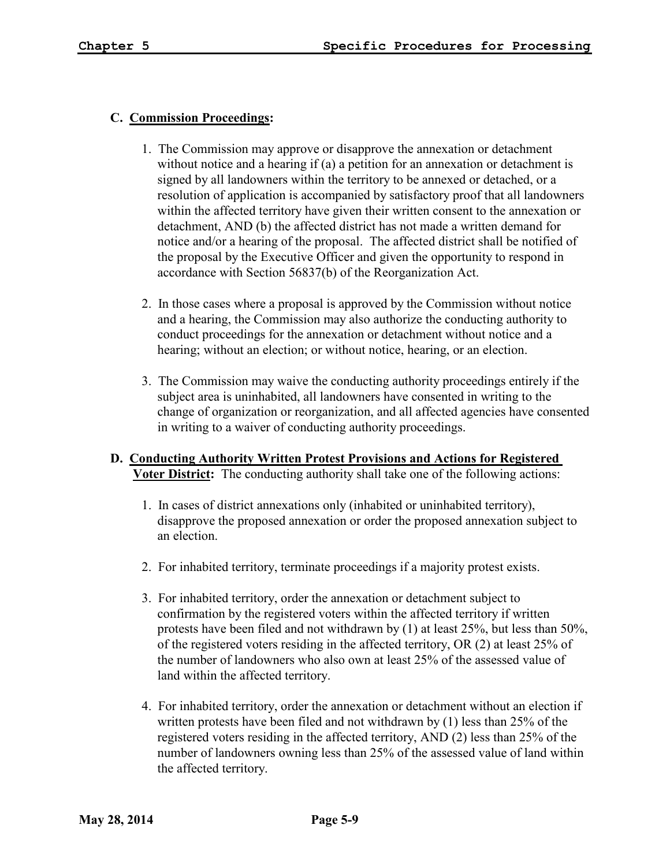## **C. Commission Proceedings:**

- 1. The Commission may approve or disapprove the annexation or detachment without notice and a hearing if (a) a petition for an annexation or detachment is signed by all landowners within the territory to be annexed or detached, or a resolution of application is accompanied by satisfactory proof that all landowners within the affected territory have given their written consent to the annexation or detachment, AND (b) the affected district has not made a written demand for notice and/or a hearing of the proposal. The affected district shall be notified of the proposal by the Executive Officer and given the opportunity to respond in accordance with Section 56837(b) of the Reorganization Act.
- 2. In those cases where a proposal is approved by the Commission without notice and a hearing, the Commission may also authorize the conducting authority to conduct proceedings for the annexation or detachment without notice and a hearing; without an election; or without notice, hearing, or an election.
- 3. The Commission may waive the conducting authority proceedings entirely if the subject area is uninhabited, all landowners have consented in writing to the change of organization or reorganization, and all affected agencies have consented in writing to a waiver of conducting authority proceedings.

## **D. Conducting Authority Written Protest Provisions and Actions for Registered Voter District:** The conducting authority shall take one of the following actions:

- 1. In cases of district annexations only (inhabited or uninhabited territory), disapprove the proposed annexation or order the proposed annexation subject to an election.
- 2. For inhabited territory, terminate proceedings if a majority protest exists.
- 3. For inhabited territory, order the annexation or detachment subject to confirmation by the registered voters within the affected territory if written protests have been filed and not withdrawn by (1) at least 25%, but less than 50%, of the registered voters residing in the affected territory, OR (2) at least 25% of the number of landowners who also own at least 25% of the assessed value of land within the affected territory.
- 4. For inhabited territory, order the annexation or detachment without an election if written protests have been filed and not withdrawn by (1) less than 25% of the registered voters residing in the affected territory, AND (2) less than 25% of the number of landowners owning less than 25% of the assessed value of land within the affected territory.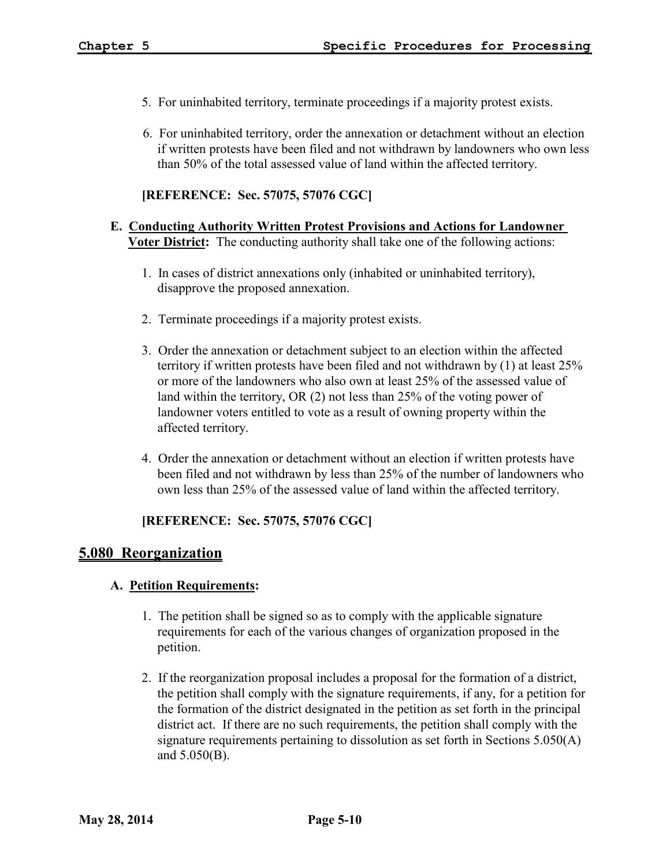- 5. For uninhabited territory, terminate proceedings if a majority protest exists.
- 6. For uninhabited territory, order the annexation or detachment without an election if written protests have been filed and not withdrawn by landowners who own less than 50% of the total assessed value of land within the affected territory.

**[REFERENCE: Sec. 57075, 57076 CGC]**

#### **E. Conducting Authority Written Protest Provisions and Actions for Landowner Voter District:** The conducting authority shall take one of the following actions:

- 1. In cases of district annexations only (inhabited or uninhabited territory), disapprove the proposed annexation.
- 2. Terminate proceedings if a majority protest exists.
- 3. Order the annexation or detachment subject to an election within the affected territory if written protests have been filed and not withdrawn by (1) at least 25% or more of the landowners who also own at least 25% of the assessed value of land within the territory, OR (2) not less than 25% of the voting power of landowner voters entitled to vote as a result of owning property within the affected territory.
- 4. Order the annexation or detachment without an election if written protests have been filed and not withdrawn by less than 25% of the number of landowners who own less than 25% of the assessed value of land within the affected territory.

## **[REFERENCE: Sec. 57075, 57076 CGC]**

## **5.080 Reorganization**

#### **A. Petition Requirements:**

- 1. The petition shall be signed so as to comply with the applicable signature requirements for each of the various changes of organization proposed in the petition.
- 2. If the reorganization proposal includes a proposal for the formation of a district, the petition shall comply with the signature requirements, if any, for a petition for the formation of the district designated in the petition as set forth in the principal district act. If there are no such requirements, the petition shall comply with the signature requirements pertaining to dissolution as set forth in Sections 5.050(A) and 5.050(B).